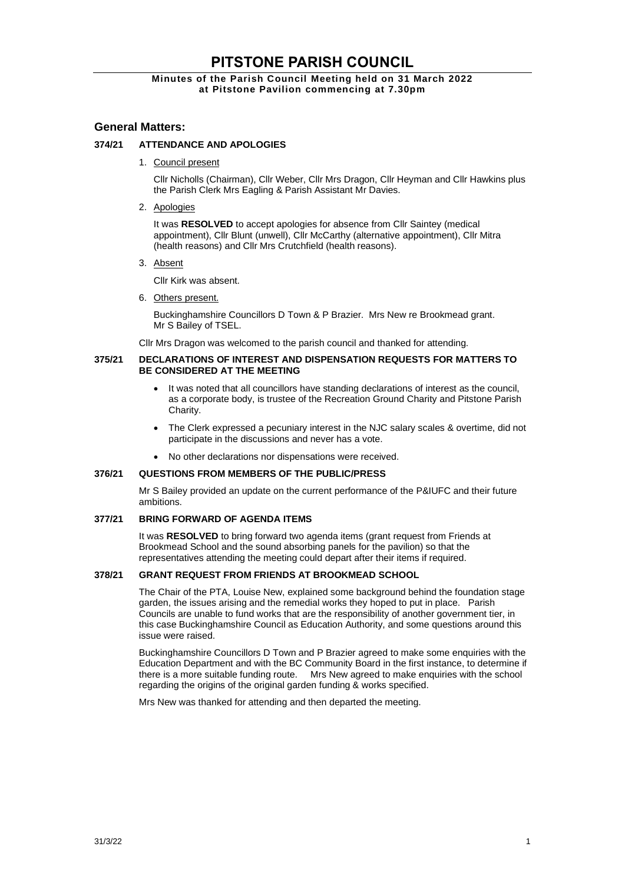# **PITSTONE PARISH COUNCIL**

## **Minutes of the Parish Council Meeting held on 31 March 2022 at Pitstone Pavilion commencing at 7.30pm**

# **General Matters:**

## **374/21 ATTENDANCE AND APOLOGIES**

1. Council present

Cllr Nicholls (Chairman), Cllr Weber, Cllr Mrs Dragon, Cllr Heyman and Cllr Hawkins plus the Parish Clerk Mrs Eagling & Parish Assistant Mr Davies.

2. Apologies

It was **RESOLVED** to accept apologies for absence from Cllr Saintey (medical appointment), Cllr Blunt (unwell), Cllr McCarthy (alternative appointment), Cllr Mitra (health reasons) and Cllr Mrs Crutchfield (health reasons).

3. Absent

Cllr Kirk was absent.

6. Others present.

Buckinghamshire Councillors D Town & P Brazier. Mrs New re Brookmead grant. Mr S Bailey of TSEL.

Cllr Mrs Dragon was welcomed to the parish council and thanked for attending.

#### **375/21 DECLARATIONS OF INTEREST AND DISPENSATION REQUESTS FOR MATTERS TO BE CONSIDERED AT THE MEETING**

- It was noted that all councillors have standing declarations of interest as the council. as a corporate body, is trustee of the Recreation Ground Charity and Pitstone Parish **Charity**
- The Clerk expressed a pecuniary interest in the NJC salary scales & overtime, did not participate in the discussions and never has a vote.
- No other declarations nor dispensations were received.

#### **376/21 QUESTIONS FROM MEMBERS OF THE PUBLIC/PRESS**

Mr S Bailey provided an update on the current performance of the P&IUFC and their future ambitions.

#### **377/21 BRING FORWARD OF AGENDA ITEMS**

It was **RESOLVED** to bring forward two agenda items (grant request from Friends at Brookmead School and the sound absorbing panels for the pavilion) so that the representatives attending the meeting could depart after their items if required.

## **378/21 GRANT REQUEST FROM FRIENDS AT BROOKMEAD SCHOOL**

The Chair of the PTA, Louise New, explained some background behind the foundation stage garden, the issues arising and the remedial works they hoped to put in place. Parish Councils are unable to fund works that are the responsibility of another government tier, in this case Buckinghamshire Council as Education Authority, and some questions around this issue were raised.

Buckinghamshire Councillors D Town and P Brazier agreed to make some enquiries with the Education Department and with the BC Community Board in the first instance, to determine if there is a more suitable funding route. Mrs New agreed to make enquiries with the school regarding the origins of the original garden funding & works specified.

Mrs New was thanked for attending and then departed the meeting.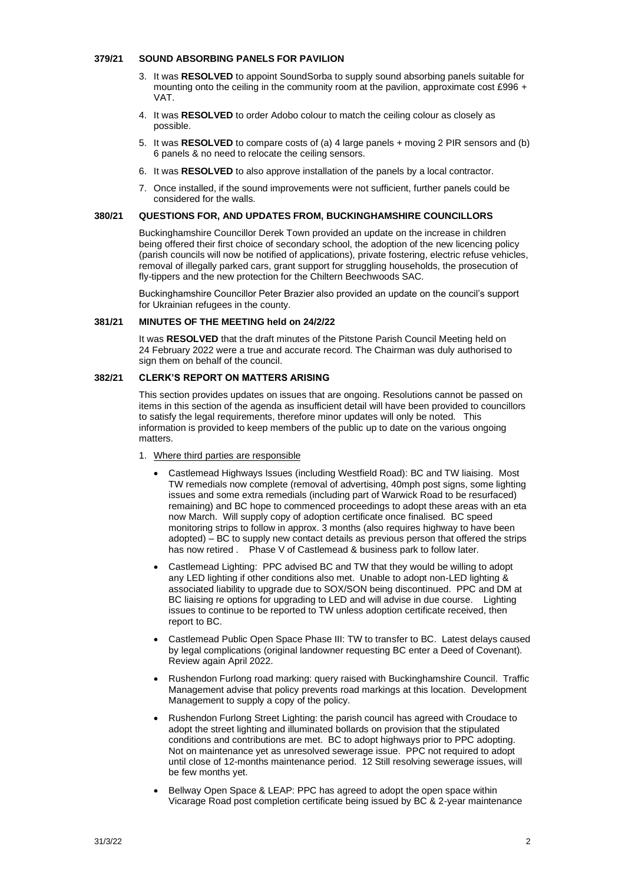#### **379/21 SOUND ABSORBING PANELS FOR PAVILION**

- 3. It was **RESOLVED** to appoint SoundSorba to supply sound absorbing panels suitable for mounting onto the ceiling in the community room at the pavilion, approximate cost £996 + VAT.
- 4. It was **RESOLVED** to order Adobo colour to match the ceiling colour as closely as possible.
- 5. It was **RESOLVED** to compare costs of (a) 4 large panels + moving 2 PIR sensors and (b) 6 panels & no need to relocate the ceiling sensors.
- 6. It was **RESOLVED** to also approve installation of the panels by a local contractor.
- 7. Once installed, if the sound improvements were not sufficient, further panels could be considered for the walls.

## **380/21 QUESTIONS FOR, AND UPDATES FROM, BUCKINGHAMSHIRE COUNCILLORS**

Buckinghamshire Councillor Derek Town provided an update on the increase in children being offered their first choice of secondary school, the adoption of the new licencing policy (parish councils will now be notified of applications), private fostering, electric refuse vehicles, removal of illegally parked cars, grant support for struggling households, the prosecution of fly-tippers and the new protection for the Chiltern Beechwoods SAC.

Buckinghamshire Councillor Peter Brazier also provided an update on the council's support for Ukrainian refugees in the county.

#### **381/21 MINUTES OF THE MEETING held on 24/2/22**

It was **RESOLVED** that the draft minutes of the Pitstone Parish Council Meeting held on 24 February 2022 were a true and accurate record. The Chairman was duly authorised to sign them on behalf of the council.

# **382/21 CLERK'S REPORT ON MATTERS ARISING**

This section provides updates on issues that are ongoing. Resolutions cannot be passed on items in this section of the agenda as insufficient detail will have been provided to councillors to satisfy the legal requirements, therefore minor updates will only be noted. This information is provided to keep members of the public up to date on the various ongoing matters.

- 1. Where third parties are responsible
	- Castlemead Highways Issues (including Westfield Road): BC and TW liaising. Most TW remedials now complete (removal of advertising, 40mph post signs, some lighting issues and some extra remedials (including part of Warwick Road to be resurfaced) remaining) and BC hope to commenced proceedings to adopt these areas with an eta now March. Will supply copy of adoption certificate once finalised. BC speed monitoring strips to follow in approx. 3 months (also requires highway to have been adopted) – BC to supply new contact details as previous person that offered the strips has now retired . Phase V of Castlemead & business park to follow later.
	- Castlemead Lighting: PPC advised BC and TW that they would be willing to adopt any LED lighting if other conditions also met. Unable to adopt non-LED lighting & associated liability to upgrade due to SOX/SON being discontinued. PPC and DM at BC liaising re options for upgrading to LED and will advise in due course. Lighting issues to continue to be reported to TW unless adoption certificate received, then report to BC.
	- Castlemead Public Open Space Phase III: TW to transfer to BC. Latest delays caused by legal complications (original landowner requesting BC enter a Deed of Covenant). Review again April 2022.
	- Rushendon Furlong road marking: query raised with Buckinghamshire Council. Traffic Management advise that policy prevents road markings at this location. Development Management to supply a copy of the policy.
	- Rushendon Furlong Street Lighting: the parish council has agreed with Croudace to adopt the street lighting and illuminated bollards on provision that the stipulated conditions and contributions are met. BC to adopt highways prior to PPC adopting. Not on maintenance yet as unresolved sewerage issue. PPC not required to adopt until close of 12-months maintenance period. 12 Still resolving sewerage issues, will be few months yet.
	- Bellway Open Space & LEAP: PPC has agreed to adopt the open space within Vicarage Road post completion certificate being issued by BC & 2-year maintenance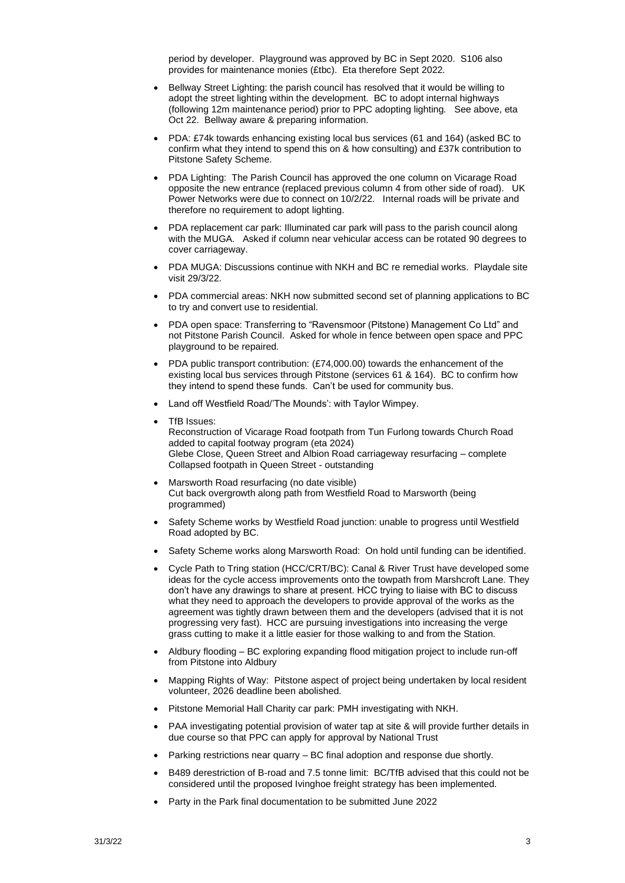period by developer. Playground was approved by BC in Sept 2020. S106 also provides for maintenance monies (£tbc). Eta therefore Sept 2022.

- Bellway Street Lighting: the parish council has resolved that it would be willing to adopt the street lighting within the development. BC to adopt internal highways (following 12m maintenance period) prior to PPC adopting lighting. See above, eta Oct 22. Bellway aware & preparing information.
- PDA: £74k towards enhancing existing local bus services (61 and 164) (asked BC to confirm what they intend to spend this on & how consulting) and £37k contribution to Pitstone Safety Scheme.
- PDA Lighting: The Parish Council has approved the one column on Vicarage Road opposite the new entrance (replaced previous column 4 from other side of road). UK Power Networks were due to connect on 10/2/22. Internal roads will be private and therefore no requirement to adopt lighting.
- PDA replacement car park: Illuminated car park will pass to the parish council along with the MUGA. Asked if column near vehicular access can be rotated 90 degrees to cover carriageway.
- PDA MUGA: Discussions continue with NKH and BC re remedial works. Playdale site visit 29/3/22.
- PDA commercial areas: NKH now submitted second set of planning applications to BC to try and convert use to residential.
- PDA open space: Transferring to "Ravensmoor (Pitstone) Management Co Ltd" and not Pitstone Parish Council. Asked for whole in fence between open space and PPC playground to be repaired.
- PDA public transport contribution: (£74,000.00) towards the enhancement of the existing local bus services through Pitstone (services 61 & 164). BC to confirm how they intend to spend these funds. Can't be used for community bus.
- Land off Westfield Road/'The Mounds': with Taylor Wimpey.
- TfB Issues: Reconstruction of Vicarage Road footpath from Tun Furlong towards Church Road added to capital footway program (eta 2024) Glebe Close, Queen Street and Albion Road carriageway resurfacing – complete Collapsed footpath in Queen Street - outstanding
- Marsworth Road resurfacing (no date visible) Cut back overgrowth along path from Westfield Road to Marsworth (being programmed)
- Safety Scheme works by Westfield Road junction: unable to progress until Westfield Road adopted by BC.
- Safety Scheme works along Marsworth Road: On hold until funding can be identified.
- Cycle Path to Tring station (HCC/CRT/BC): Canal & River Trust have developed some ideas for the cycle access improvements onto the towpath from Marshcroft Lane. They don't have any drawings to share at present. HCC trying to liaise with BC to discuss what they need to approach the developers to provide approval of the works as the agreement was tightly drawn between them and the developers (advised that it is not progressing very fast). HCC are pursuing investigations into increasing the verge grass cutting to make it a little easier for those walking to and from the Station.
- Aldbury flooding BC exploring expanding flood mitigation project to include run-off from Pitstone into Aldbury
- Mapping Rights of Way: Pitstone aspect of project being undertaken by local resident volunteer, 2026 deadline been abolished.
- Pitstone Memorial Hall Charity car park: PMH investigating with NKH.
- PAA investigating potential provision of water tap at site & will provide further details in due course so that PPC can apply for approval by National Trust
- Parking restrictions near quarry BC final adoption and response due shortly.
- B489 derestriction of B-road and 7.5 tonne limit: BC/TfB advised that this could not be considered until the proposed Ivinghoe freight strategy has been implemented.
- Party in the Park final documentation to be submitted June 2022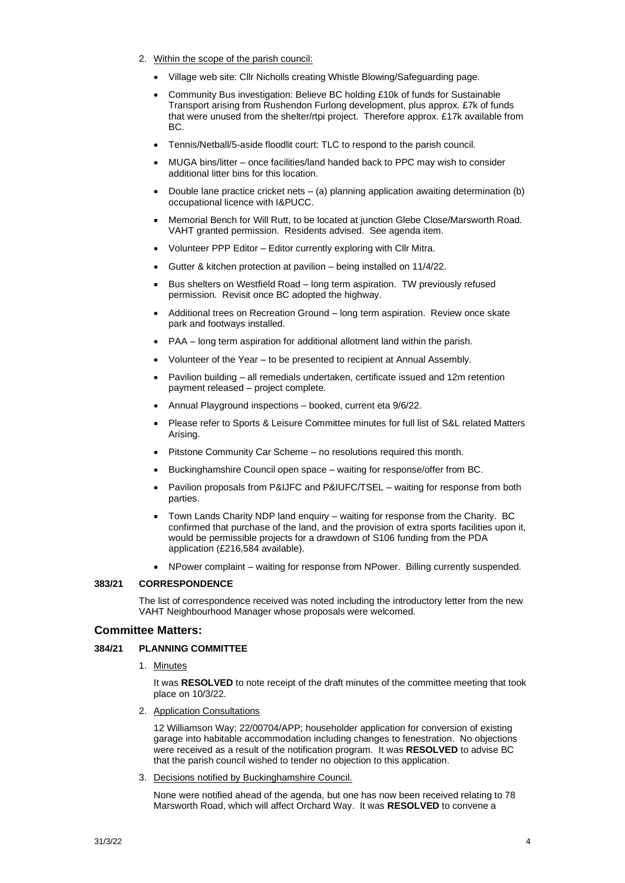- 2. Within the scope of the parish council:
	- Village web site: Cllr Nicholls creating Whistle Blowing/Safeguarding page.
	- Community Bus investigation: Believe BC holding £10k of funds for Sustainable Transport arising from Rushendon Furlong development, plus approx. £7k of funds that were unused from the shelter/rtpi project. Therefore approx. £17k available from BC.
	- Tennis/Netball/5-aside floodlit court: TLC to respond to the parish council.
	- MUGA bins/litter once facilities/land handed back to PPC may wish to consider additional litter bins for this location.
	- Double lane practice cricket nets  $-$  (a) planning application awaiting determination (b) occupational licence with I&PUCC.
	- Memorial Bench for Will Rutt, to be located at junction Glebe Close/Marsworth Road. VAHT granted permission. Residents advised. See agenda item.
	- Volunteer PPP Editor Editor currently exploring with Cllr Mitra.
	- Gutter & kitchen protection at pavilion being installed on 11/4/22.
	- Bus shelters on Westfield Road long term aspiration. TW previously refused permission. Revisit once BC adopted the highway.
	- Additional trees on Recreation Ground long term aspiration. Review once skate park and footways installed.
	- PAA long term aspiration for additional allotment land within the parish.
	- Volunteer of the Year to be presented to recipient at Annual Assembly.
	- Pavilion building all remedials undertaken, certificate issued and 12m retention payment released – project complete.
	- Annual Playground inspections booked, current eta 9/6/22.
	- Please refer to Sports & Leisure Committee minutes for full list of S&L related Matters Arising.
	- Pitstone Community Car Scheme no resolutions required this month.
	- Buckinghamshire Council open space waiting for response/offer from BC.
	- Pavilion proposals from P&IJFC and P&IUFC/TSEL waiting for response from both parties.
	- Town Lands Charity NDP land enquiry waiting for response from the Charity. BC confirmed that purchase of the land, and the provision of extra sports facilities upon it, would be permissible projects for a drawdown of S106 funding from the PDA application (£216,584 available).
	- NPower complaint waiting for response from NPower. Billing currently suspended.

## **383/21 CORRESPONDENCE**

The list of correspondence received was noted including the introductory letter from the new VAHT Neighbourhood Manager whose proposals were welcomed.

## **Committee Matters:**

## **384/21 PLANNING COMMITTEE**

1. Minutes

It was **RESOLVED** to note receipt of the draft minutes of the committee meeting that took place on 10/3/22.

2. Application Consultations

12 Williamson Way; 22/00704/APP; householder application for conversion of existing garage into habitable accommodation including changes to fenestration. No objections were received as a result of the notification program. It was **RESOLVED** to advise BC that the parish council wished to tender no objection to this application.

3. Decisions notified by Buckinghamshire Council.

None were notified ahead of the agenda, but one has now been received relating to 78 Marsworth Road, which will affect Orchard Way. It was **RESOLVED** to convene a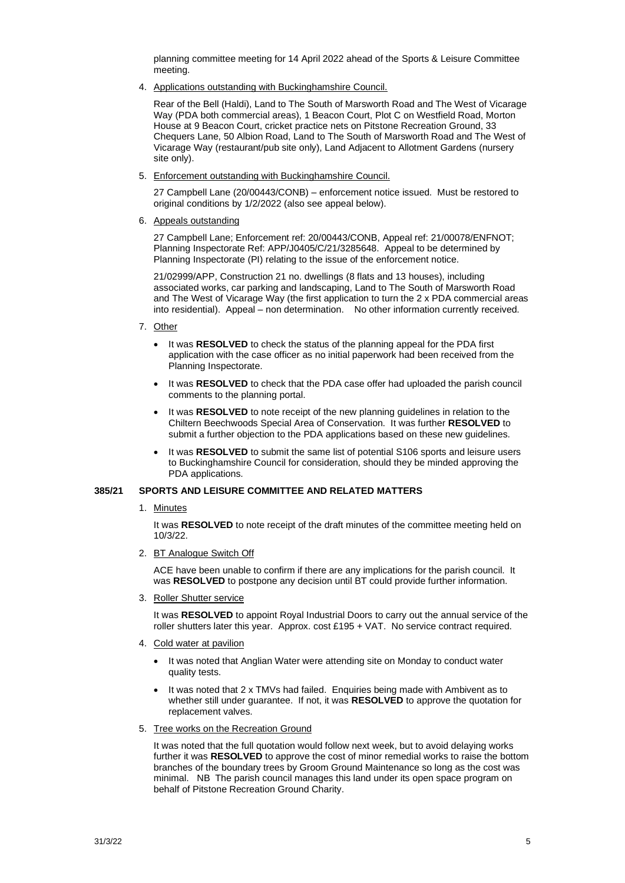planning committee meeting for 14 April 2022 ahead of the Sports & Leisure Committee meeting.

4. Applications outstanding with Buckinghamshire Council.

Rear of the Bell (Haldi), Land to The South of Marsworth Road and The West of Vicarage Way (PDA both commercial areas), 1 Beacon Court, Plot C on Westfield Road, Morton House at 9 Beacon Court, cricket practice nets on Pitstone Recreation Ground, 33 Chequers Lane, 50 Albion Road, Land to The South of Marsworth Road and The West of Vicarage Way (restaurant/pub site only), Land Adjacent to Allotment Gardens (nursery site only).

5. Enforcement outstanding with Buckinghamshire Council.

27 Campbell Lane (20/00443/CONB) – enforcement notice issued. Must be restored to original conditions by 1/2/2022 (also see appeal below).

6. Appeals outstanding

27 Campbell Lane; Enforcement ref: 20/00443/CONB, Appeal ref: 21/00078/ENFNOT; Planning Inspectorate Ref: APP/J0405/C/21/3285648. Appeal to be determined by Planning Inspectorate (PI) relating to the issue of the enforcement notice.

21/02999/APP, Construction 21 no. dwellings (8 flats and 13 houses), including associated works, car parking and landscaping, Land to The South of Marsworth Road and The West of Vicarage Way (the first application to turn the 2 x PDA commercial areas into residential). Appeal – non determination. No other information currently received.

- 7. Other
	- It was **RESOLVED** to check the status of the planning appeal for the PDA first application with the case officer as no initial paperwork had been received from the Planning Inspectorate.
	- It was **RESOLVED** to check that the PDA case offer had uploaded the parish council comments to the planning portal.
	- It was **RESOLVED** to note receipt of the new planning guidelines in relation to the Chiltern Beechwoods Special Area of Conservation. It was further **RESOLVED** to submit a further objection to the PDA applications based on these new guidelines.
	- It was **RESOLVED** to submit the same list of potential S106 sports and leisure users to Buckinghamshire Council for consideration, should they be minded approving the PDA applications.

#### **385/21 SPORTS AND LEISURE COMMITTEE AND RELATED MATTERS**

1. Minutes

It was **RESOLVED** to note receipt of the draft minutes of the committee meeting held on 10/3/22.

2. BT Analogue Switch Off

ACE have been unable to confirm if there are any implications for the parish council. It was **RESOLVED** to postpone any decision until BT could provide further information.

3. Roller Shutter service

It was **RESOLVED** to appoint Royal Industrial Doors to carry out the annual service of the roller shutters later this year. Approx. cost £195 + VAT. No service contract required.

- 4. Cold water at pavilion
	- It was noted that Anglian Water were attending site on Monday to conduct water quality tests.
	- It was noted that 2 x TMVs had failed. Enquiries being made with Ambivent as to whether still under guarantee. If not, it was **RESOLVED** to approve the quotation for replacement valves.
- 5. Tree works on the Recreation Ground

It was noted that the full quotation would follow next week, but to avoid delaying works further it was **RESOLVED** to approve the cost of minor remedial works to raise the bottom branches of the boundary trees by Groom Ground Maintenance so long as the cost was minimal. NB The parish council manages this land under its open space program on behalf of Pitstone Recreation Ground Charity.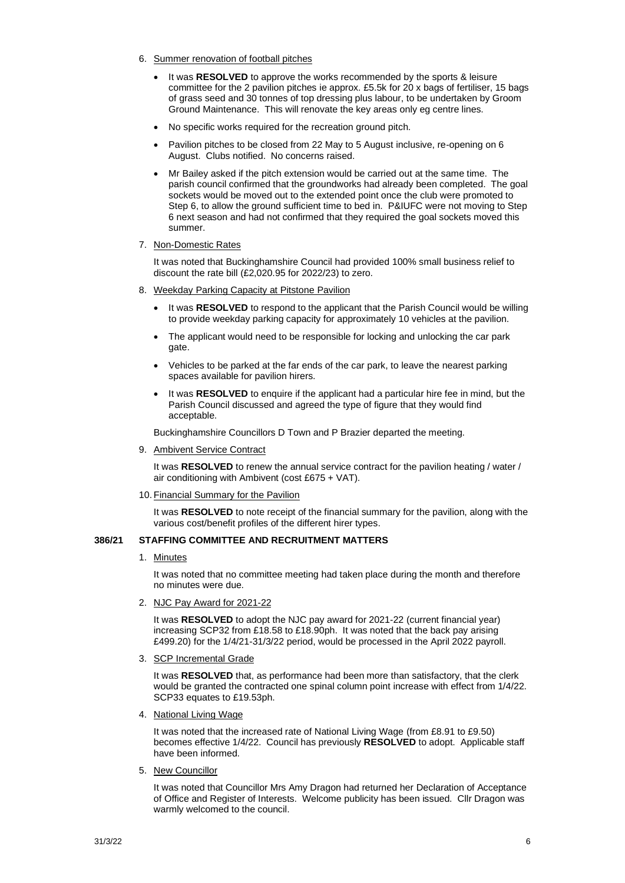- 6. Summer renovation of football pitches
	- It was **RESOLVED** to approve the works recommended by the sports & leisure committee for the 2 pavilion pitches ie approx. £5.5k for 20 x bags of fertiliser, 15 bags of grass seed and 30 tonnes of top dressing plus labour, to be undertaken by Groom Ground Maintenance. This will renovate the key areas only eg centre lines.
	- No specific works required for the recreation ground pitch.
	- Pavilion pitches to be closed from 22 May to 5 August inclusive, re-opening on 6 August. Clubs notified. No concerns raised.
	- Mr Bailey asked if the pitch extension would be carried out at the same time. The parish council confirmed that the groundworks had already been completed. The goal sockets would be moved out to the extended point once the club were promoted to Step 6, to allow the ground sufficient time to bed in. P&IUFC were not moving to Step 6 next season and had not confirmed that they required the goal sockets moved this summer.

#### 7. Non-Domestic Rates

It was noted that Buckinghamshire Council had provided 100% small business relief to discount the rate bill (£2,020.95 for 2022/23) to zero.

- 8. Weekday Parking Capacity at Pitstone Pavilion
	- It was **RESOLVED** to respond to the applicant that the Parish Council would be willing to provide weekday parking capacity for approximately 10 vehicles at the pavilion.
	- The applicant would need to be responsible for locking and unlocking the car park gate.
	- Vehicles to be parked at the far ends of the car park, to leave the nearest parking spaces available for pavilion hirers.
	- It was **RESOLVED** to enquire if the applicant had a particular hire fee in mind, but the Parish Council discussed and agreed the type of figure that they would find acceptable.

Buckinghamshire Councillors D Town and P Brazier departed the meeting.

9. Ambivent Service Contract

It was RESOLVED to renew the annual service contract for the pavilion heating / water / air conditioning with Ambivent (cost £675 + VAT).

10. Financial Summary for the Pavilion

It was **RESOLVED** to note receipt of the financial summary for the pavilion, along with the various cost/benefit profiles of the different hirer types.

## **386/21 STAFFING COMMITTEE AND RECRUITMENT MATTERS**

#### 1. Minutes

It was noted that no committee meeting had taken place during the month and therefore no minutes were due.

2. NJC Pay Award for 2021-22

It was **RESOLVED** to adopt the NJC pay award for 2021-22 (current financial year) increasing SCP32 from £18.58 to £18.90ph. It was noted that the back pay arising £499.20) for the 1/4/21-31/3/22 period, would be processed in the April 2022 payroll.

3. SCP Incremental Grade

It was **RESOLVED** that, as performance had been more than satisfactory, that the clerk would be granted the contracted one spinal column point increase with effect from 1/4/22. SCP33 equates to £19.53ph.

4. National Living Wage

It was noted that the increased rate of National Living Wage (from £8.91 to £9.50) becomes effective 1/4/22. Council has previously **RESOLVED** to adopt. Applicable staff have been informed.

5. New Councillor

It was noted that Councillor Mrs Amy Dragon had returned her Declaration of Acceptance of Office and Register of Interests. Welcome publicity has been issued. Cllr Dragon was warmly welcomed to the council.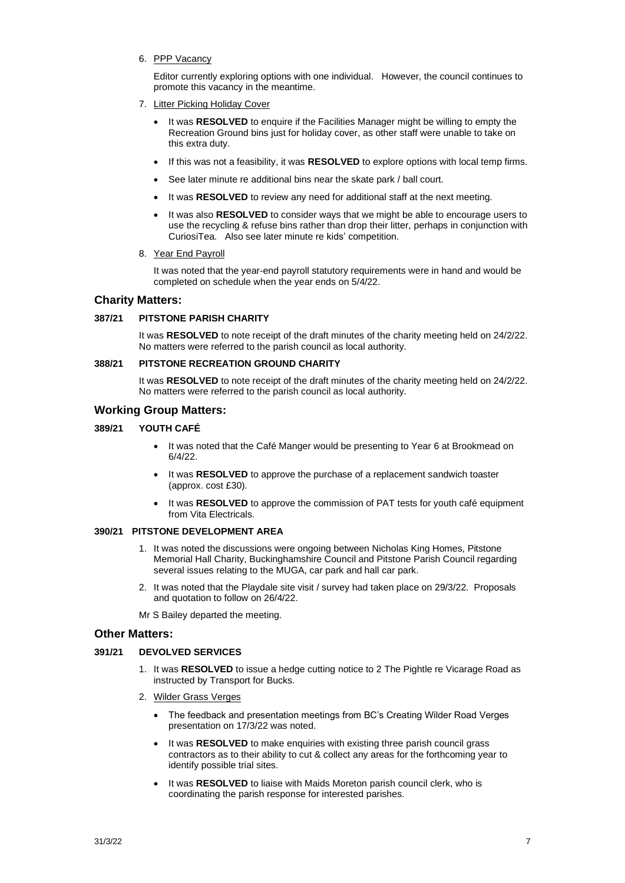6. PPP Vacancy

Editor currently exploring options with one individual. However, the council continues to promote this vacancy in the meantime.

- 7. Litter Picking Holiday Cover
	- It was **RESOLVED** to enquire if the Facilities Manager might be willing to empty the Recreation Ground bins just for holiday cover, as other staff were unable to take on this extra duty.
	- If this was not a feasibility, it was **RESOLVED** to explore options with local temp firms.
	- See later minute re additional bins near the skate park / ball court.
	- It was **RESOLVED** to review any need for additional staff at the next meeting.
	- It was also **RESOLVED** to consider ways that we might be able to encourage users to use the recycling & refuse bins rather than drop their litter, perhaps in conjunction with CuriosiTea. Also see later minute re kids' competition.
- 8. Year End Payroll

It was noted that the year-end payroll statutory requirements were in hand and would be completed on schedule when the year ends on 5/4/22.

## **Charity Matters:**

#### **387/21 PITSTONE PARISH CHARITY**

It was **RESOLVED** to note receipt of the draft minutes of the charity meeting held on 24/2/22. No matters were referred to the parish council as local authority.

#### **388/21 PITSTONE RECREATION GROUND CHARITY**

It was **RESOLVED** to note receipt of the draft minutes of the charity meeting held on 24/2/22. No matters were referred to the parish council as local authority.

# **Working Group Matters:**

#### **389/21 YOUTH CAFÉ**

- It was noted that the Café Manger would be presenting to Year 6 at Brookmead on 6/4/22.
- It was **RESOLVED** to approve the purchase of a replacement sandwich toaster (approx. cost £30).
- It was **RESOLVED** to approve the commission of PAT tests for youth café equipment from Vita Electricals.

# **390/21 PITSTONE DEVELOPMENT AREA**

- 1. It was noted the discussions were ongoing between Nicholas King Homes, Pitstone Memorial Hall Charity, Buckinghamshire Council and Pitstone Parish Council regarding several issues relating to the MUGA, car park and hall car park.
- 2. It was noted that the Playdale site visit / survey had taken place on 29/3/22. Proposals and quotation to follow on 26/4/22.

Mr S Bailey departed the meeting.

## **Other Matters:**

#### **391/21 DEVOLVED SERVICES**

- 1. It was **RESOLVED** to issue a hedge cutting notice to 2 The Pightle re Vicarage Road as instructed by Transport for Bucks.
- 2. Wilder Grass Verges
	- The feedback and presentation meetings from BC's Creating Wilder Road Verges presentation on 17/3/22 was noted.
	- It was **RESOLVED** to make enquiries with existing three parish council grass contractors as to their ability to cut & collect any areas for the forthcoming year to identify possible trial sites.
	- It was **RESOLVED** to liaise with Maids Moreton parish council clerk, who is coordinating the parish response for interested parishes.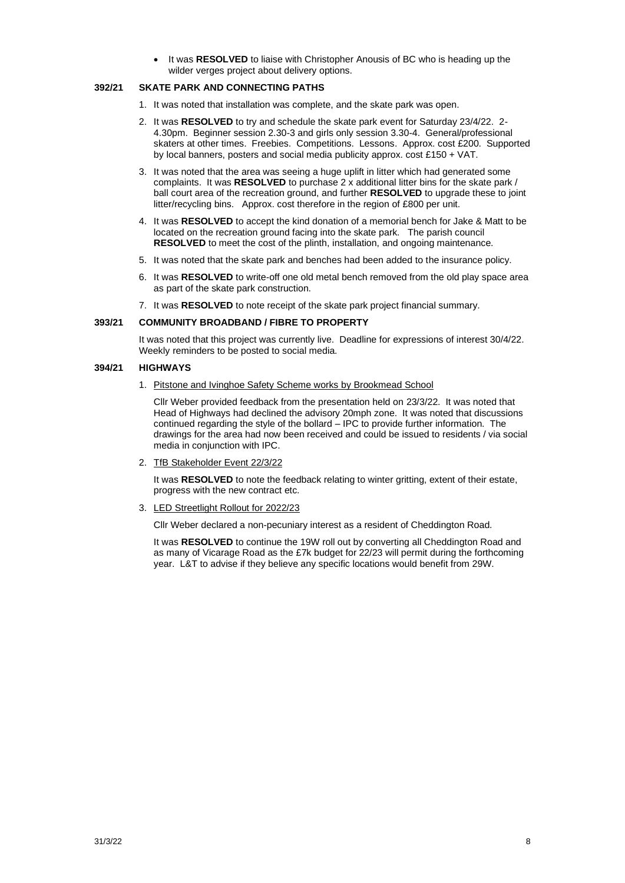• It was **RESOLVED** to liaise with Christopher Anousis of BC who is heading up the wilder verges project about delivery options.

## **392/21 SKATE PARK AND CONNECTING PATHS**

- 1. It was noted that installation was complete, and the skate park was open.
- 2. It was **RESOLVED** to try and schedule the skate park event for Saturday 23/4/22. 2- 4.30pm. Beginner session 2.30-3 and girls only session 3.30-4. General/professional skaters at other times. Freebies. Competitions. Lessons. Approx. cost £200. Supported by local banners, posters and social media publicity approx. cost £150 + VAT.
- 3. It was noted that the area was seeing a huge uplift in litter which had generated some complaints. It was **RESOLVED** to purchase 2 x additional litter bins for the skate park / ball court area of the recreation ground, and further **RESOLVED** to upgrade these to joint litter/recycling bins. Approx. cost therefore in the region of £800 per unit.
- 4. It was **RESOLVED** to accept the kind donation of a memorial bench for Jake & Matt to be located on the recreation ground facing into the skate park. The parish council **RESOLVED** to meet the cost of the plinth, installation, and ongoing maintenance.
- 5. It was noted that the skate park and benches had been added to the insurance policy.
- 6. It was **RESOLVED** to write-off one old metal bench removed from the old play space area as part of the skate park construction.
- 7. It was **RESOLVED** to note receipt of the skate park project financial summary.

#### **393/21 COMMUNITY BROADBAND / FIBRE TO PROPERTY**

It was noted that this project was currently live. Deadline for expressions of interest 30/4/22. Weekly reminders to be posted to social media.

#### **394/21 HIGHWAYS**

1. Pitstone and Ivinghoe Safety Scheme works by Brookmead School

Cllr Weber provided feedback from the presentation held on 23/3/22. It was noted that Head of Highways had declined the advisory 20mph zone. It was noted that discussions continued regarding the style of the bollard – IPC to provide further information. The drawings for the area had now been received and could be issued to residents / via social media in conjunction with IPC.

2. TfB Stakeholder Event 22/3/22

It was **RESOLVED** to note the feedback relating to winter gritting, extent of their estate, progress with the new contract etc.

3. LED Streetlight Rollout for 2022/23

Cllr Weber declared a non-pecuniary interest as a resident of Cheddington Road.

It was **RESOLVED** to continue the 19W roll out by converting all Cheddington Road and as many of Vicarage Road as the £7k budget for 22/23 will permit during the forthcoming year. L&T to advise if they believe any specific locations would benefit from 29W.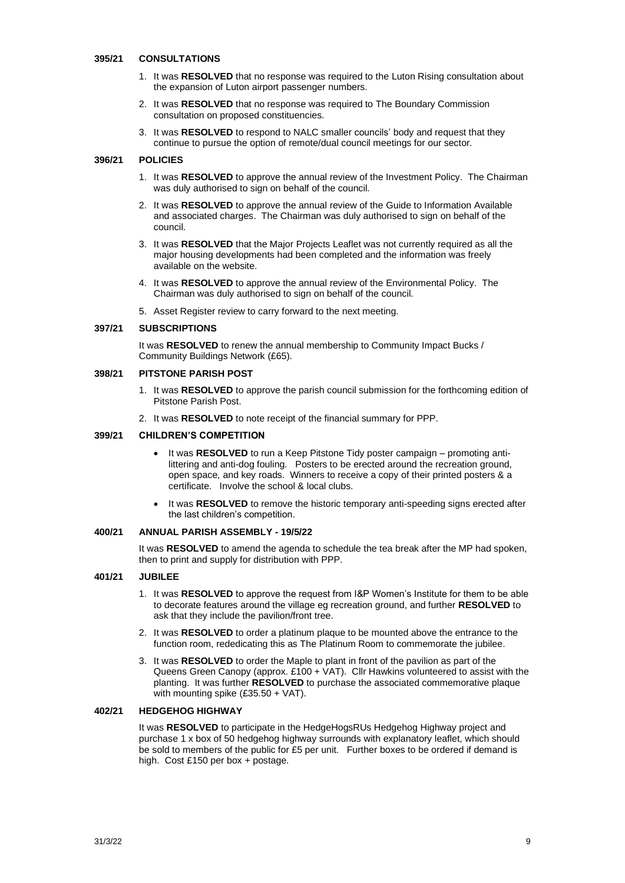#### **395/21 CONSULTATIONS**

- 1. It was **RESOLVED** that no response was required to the Luton Rising consultation about the expansion of Luton airport passenger numbers.
- 2. It was **RESOLVED** that no response was required to The Boundary Commission consultation on proposed constituencies.
- 3. It was **RESOLVED** to respond to NALC smaller councils' body and request that they continue to pursue the option of remote/dual council meetings for our sector.

## **396/21 POLICIES**

- 1. It was **RESOLVED** to approve the annual review of the Investment Policy. The Chairman was duly authorised to sign on behalf of the council.
- 2. It was **RESOLVED** to approve the annual review of the Guide to Information Available and associated charges. The Chairman was duly authorised to sign on behalf of the council.
- 3. It was **RESOLVED** that the Major Projects Leaflet was not currently required as all the major housing developments had been completed and the information was freely available on the website.
- 4. It was **RESOLVED** to approve the annual review of the Environmental Policy. The Chairman was duly authorised to sign on behalf of the council.
- 5. Asset Register review to carry forward to the next meeting.

## **397/21 SUBSCRIPTIONS**

It was **RESOLVED** to renew the annual membership to Community Impact Bucks / Community Buildings Network (£65).

#### **398/21 PITSTONE PARISH POST**

- 1. It was **RESOLVED** to approve the parish council submission for the forthcoming edition of Pitstone Parish Post.
- 2. It was **RESOLVED** to note receipt of the financial summary for PPP.

#### **399/21 CHILDREN'S COMPETITION**

- It was **RESOLVED** to run a Keep Pitstone Tidy poster campaign promoting antilittering and anti-dog fouling. Posters to be erected around the recreation ground, open space, and key roads. Winners to receive a copy of their printed posters & a certificate. Involve the school & local clubs.
- It was **RESOLVED** to remove the historic temporary anti-speeding signs erected after the last children's competition.

#### **400/21 ANNUAL PARISH ASSEMBLY - 19/5/22**

It was **RESOLVED** to amend the agenda to schedule the tea break after the MP had spoken, then to print and supply for distribution with PPP.

#### **401/21 JUBILEE**

- 1. It was **RESOLVED** to approve the request from I&P Women's Institute for them to be able to decorate features around the village eg recreation ground, and further **RESOLVED** to ask that they include the pavilion/front tree.
- 2. It was **RESOLVED** to order a platinum plaque to be mounted above the entrance to the function room, rededicating this as The Platinum Room to commemorate the jubilee.
- 3. It was **RESOLVED** to order the Maple to plant in front of the pavilion as part of the Queens Green Canopy (approx. £100 + VAT). Cllr Hawkins volunteered to assist with the planting. It was further **RESOLVED** to purchase the associated commemorative plaque with mounting spike (£35.50 + VAT).

#### **402/21 HEDGEHOG HIGHWAY**

It was **RESOLVED** to participate in the HedgeHogsRUs Hedgehog Highway project and purchase 1 x box of 50 hedgehog highway surrounds with explanatory leaflet, which should be sold to members of the public for £5 per unit. Further boxes to be ordered if demand is high. Cost £150 per box + postage.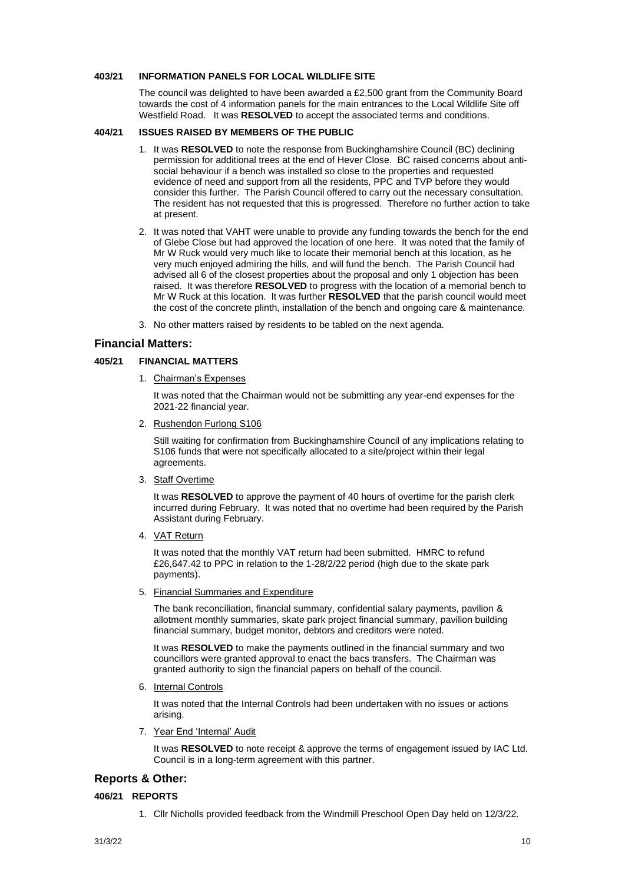## **403/21 INFORMATION PANELS FOR LOCAL WILDLIFE SITE**

The council was delighted to have been awarded a £2,500 grant from the Community Board towards the cost of 4 information panels for the main entrances to the Local Wildlife Site off Westfield Road. It was **RESOLVED** to accept the associated terms and conditions.

#### **404/21 ISSUES RAISED BY MEMBERS OF THE PUBLIC**

- 1. It was **RESOLVED** to note the response from Buckinghamshire Council (BC) declining permission for additional trees at the end of Hever Close. BC raised concerns about antisocial behaviour if a bench was installed so close to the properties and requested evidence of need and support from all the residents, PPC and TVP before they would consider this further. The Parish Council offered to carry out the necessary consultation. The resident has not requested that this is progressed. Therefore no further action to take at present.
- 2. It was noted that VAHT were unable to provide any funding towards the bench for the end of Glebe Close but had approved the location of one here. It was noted that the family of Mr W Ruck would very much like to locate their memorial bench at this location, as he very much enjoyed admiring the hills, and will fund the bench. The Parish Council had advised all 6 of the closest properties about the proposal and only 1 objection has been raised. It was therefore **RESOLVED** to progress with the location of a memorial bench to Mr W Ruck at this location. It was further **RESOLVED** that the parish council would meet the cost of the concrete plinth, installation of the bench and ongoing care & maintenance.
- 3. No other matters raised by residents to be tabled on the next agenda.

## **Financial Matters:**

## **405/21 FINANCIAL MATTERS**

1. Chairman's Expenses

It was noted that the Chairman would not be submitting any year-end expenses for the 2021-22 financial year.

2. Rushendon Furlong S106

Still waiting for confirmation from Buckinghamshire Council of any implications relating to S106 funds that were not specifically allocated to a site/project within their legal agreements.

3. Staff Overtime

It was **RESOLVED** to approve the payment of 40 hours of overtime for the parish clerk incurred during February. It was noted that no overtime had been required by the Parish Assistant during February.

4. VAT Return

It was noted that the monthly VAT return had been submitted. HMRC to refund £26,647.42 to PPC in relation to the 1-28/2/22 period (high due to the skate park payments).

5. Financial Summaries and Expenditure

The bank reconciliation, financial summary, confidential salary payments, pavilion & allotment monthly summaries, skate park project financial summary, pavilion building financial summary, budget monitor, debtors and creditors were noted.

It was **RESOLVED** to make the payments outlined in the financial summary and two councillors were granted approval to enact the bacs transfers. The Chairman was granted authority to sign the financial papers on behalf of the council.

6. Internal Controls

It was noted that the Internal Controls had been undertaken with no issues or actions arising.

7. Year End 'Internal' Audit

It was **RESOLVED** to note receipt & approve the terms of engagement issued by IAC Ltd. Council is in a long-term agreement with this partner.

# **Reports & Other:**

#### **406/21 REPORTS**

1. Cllr Nicholls provided feedback from the Windmill Preschool Open Day held on 12/3/22.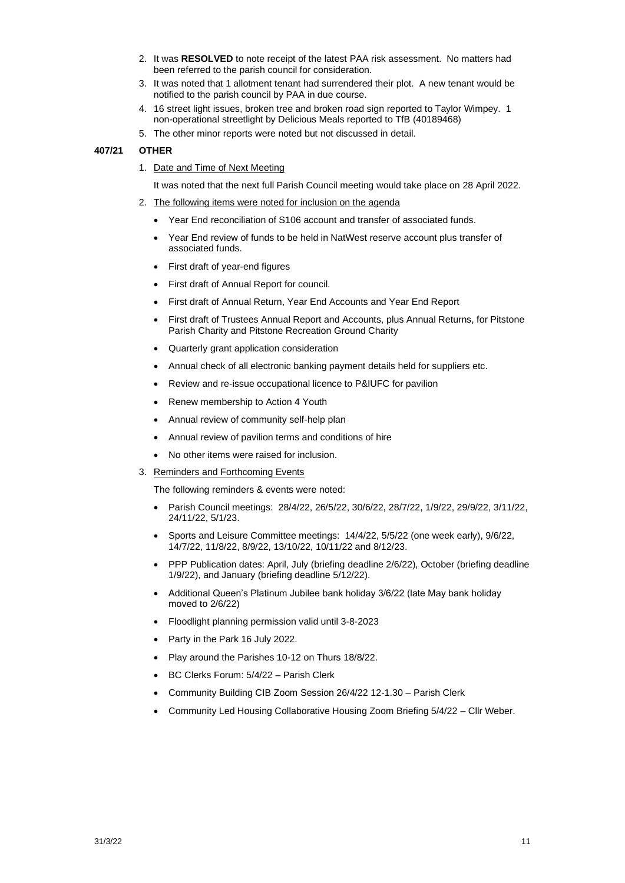- 2. It was **RESOLVED** to note receipt of the latest PAA risk assessment. No matters had been referred to the parish council for consideration.
- 3. It was noted that 1 allotment tenant had surrendered their plot. A new tenant would be notified to the parish council by PAA in due course.
- 4. 16 street light issues, broken tree and broken road sign reported to Taylor Wimpey. 1 non-operational streetlight by Delicious Meals reported to TfB (40189468)
- 5. The other minor reports were noted but not discussed in detail.

#### **407/21 OTHER**

1. Date and Time of Next Meeting

It was noted that the next full Parish Council meeting would take place on 28 April 2022.

- 2. The following items were noted for inclusion on the agenda
	- Year End reconciliation of S106 account and transfer of associated funds.
	- Year End review of funds to be held in NatWest reserve account plus transfer of associated funds.
	- First draft of year-end figures
	- First draft of Annual Report for council.
	- First draft of Annual Return, Year End Accounts and Year End Report
	- First draft of Trustees Annual Report and Accounts, plus Annual Returns, for Pitstone Parish Charity and Pitstone Recreation Ground Charity
	- Quarterly grant application consideration
	- Annual check of all electronic banking payment details held for suppliers etc.
	- Review and re-issue occupational licence to P&IUFC for pavilion
	- Renew membership to Action 4 Youth
	- Annual review of community self-help plan
	- Annual review of pavilion terms and conditions of hire
	- No other items were raised for inclusion.
- 3. Reminders and Forthcoming Events

The following reminders & events were noted:

- Parish Council meetings: 28/4/22, 26/5/22, 30/6/22, 28/7/22, 1/9/22, 29/9/22, 3/11/22, 24/11/22, 5/1/23.
- Sports and Leisure Committee meetings: 14/4/22, 5/5/22 (one week early), 9/6/22, 14/7/22, 11/8/22, 8/9/22, 13/10/22, 10/11/22 and 8/12/23.
- PPP Publication dates: April, July (briefing deadline 2/6/22), October (briefing deadline 1/9/22), and January (briefing deadline 5/12/22).
- Additional Queen's Platinum Jubilee bank holiday 3/6/22 (late May bank holiday moved to 2/6/22)
- Floodlight planning permission valid until 3-8-2023
- Party in the Park 16 July 2022.
- Play around the Parishes 10-12 on Thurs 18/8/22.
- BC Clerks Forum: 5/4/22 Parish Clerk
- Community Building CIB Zoom Session 26/4/22 12-1.30 Parish Clerk
- Community Led Housing Collaborative Housing Zoom Briefing 5/4/22 Cllr Weber.